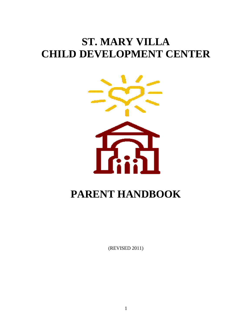# **ST. MARY VILLA CHILD DEVELOPMENT CENTER**



# **PARENT HANDBOOK**

(REVISED 2011)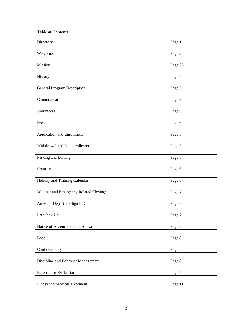#### **Table of Contents**

| Directory                              | Page 1     |
|----------------------------------------|------------|
| Welcome                                | Page 2     |
|                                        |            |
| Mission                                | Page 23    |
|                                        |            |
| History                                | Page 4     |
| <b>General Program Description</b>     | Page 5     |
|                                        |            |
| Communications                         | Page 5     |
| Volunteers                             | Page 6     |
|                                        |            |
| Fees                                   | Page 6     |
|                                        |            |
| <b>Application and Enrollment</b>      | Page 5     |
| Withdrawal and Dis-enrollment          | Page 5     |
|                                        |            |
| Parking and Driving                    | Page 8     |
| Security                               | Page 6     |
|                                        |            |
| Holiday and Training Calendar          | Page 6     |
| Weather and Emergency Related Closings | Page $7\,$ |
|                                        |            |
| Arrival - Departure Sign In/Out        | Page 7     |
|                                        |            |
| Late Pick Up                           | Page 7     |
| Notice of Absence or Late Arrival      | Page 7     |
|                                        |            |
| Food                                   | Page 8     |
| Confidentiality                        | Page 8     |
|                                        |            |
| Discipline and Behavior Management     | Page 8     |
|                                        |            |
| Referral for Evaluation                | Page 9     |
| Illness and Medical Treatment          | Page 11    |
|                                        |            |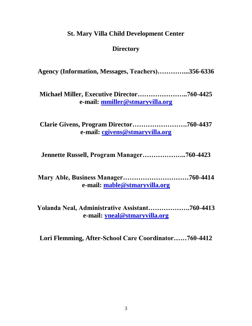# **St. Mary Villa Child Development Center**

# **Directory**

**Agency (Information, Messages, Teachers)…………...356-6336**

**Michael Miller, Executive Director…………………..760-4425 e-mail: [mmiller@stmaryvilla.org](mailto:mmiller@stmaryvilla.org)**

**Clarie Givens, Program Director…………………….760-4437 e-mail: [cgivens@stmaryvilla.org](mailto:cgivens@stmaryvilla.org)**

**Jennette Russell, Program Manager………………..760-4423**

**Mary Able, Business Manager…………………………760-4414 e-mail: [mable@stmaryvilla.org](mailto:mable@stmaryvilla.org)**

**Yolanda Neal, Administrative Assistant……………….760-4413 e-mail: [yneal@stmaryvilla.org](mailto:yneal@stmaryvilla.org)**

**Lori Flemming, After-School Care Coordinator……760-4412**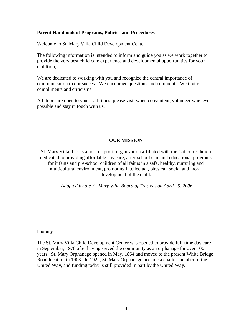#### **Parent Handbook of Programs, Policies and Procedures**

Welcome to St. Mary Villa Child Development Center!

The following information is intended to inform and guide you as we work together to provide the very best child care experience and developmental opportunities for your child(ren).

We are dedicated to working with you and recognize the central importance of communication to our success. We encourage questions and comments. We invite compliments and criticisms.

All doors are open to you at all times; please visit when convenient, volunteer whenever possible and stay in touch with us.

#### **OUR MISSION**

St. Mary Villa, Inc. is a not-for-profit organization affiliated with the Catholic Church dedicated to providing affordable day care, after-school care and educational programs for infants and pre-school children of all faiths in a safe, healthy, nurturing and multicultural environment, promoting intellectual, physical, social and moral development of the child.

*-Adopted by the St. Mary Villa Board of Trustees on April 25, 2006*

#### **History**

The St. Mary Villa Child Development Center was opened to provide full-time day care in September, 1978 after having served the community as an orphanage for over 100 years. St. Mary Orphanage opened in May, 1864 and moved to the present White Bridge Road location in 1903. In 1922, St. Mary Orphanage became a charter member of the United Way, and funding today is still provided in part by the United Way.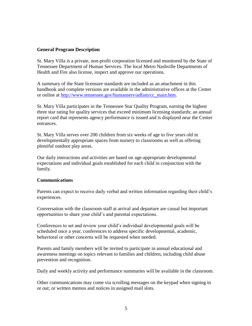#### **General Program Description**

St. Mary Villa is a private, non-profit corporation licensed and monitored by the State of Tennessee Department of Human Services. The local Metro Nashville Departments of Health and Fire also license, inspect and approve our operations.

A summary of the State licensure standards are included as an attachment in this handbook and complete versions are available in the administrative offices at the Center or online at [http://www.tennessee.gov/humanserv/adfam/cc\\_main.htm.](http://www.tennessee.gov/humanserv/adfam/cc_main.htm)

St. Mary Villa participates in the Tennessee Star Quality Program, earning the highest three star rating for quality services that exceed minimum licensing standards; an annual report card that represents agency performance is issued and is displayed near the Center entrances.

St. Mary Villa serves over 200 children from six weeks of age to five years old in developmentally appropriate spaces from nursery to classrooms as well as offering plentiful outdoor play areas.

Our daily interactions and activities are based on age-appropriate developmental expectations and individual goals established for each child in conjunction with the family.

#### **Communications**

Parents can expect to receive daily verbal and written information regarding their child's experiences.

Conversation with the classroom staff at arrival and departure are casual but important opportunities to share your child's and parental expectations.

Conferences to set and review your child's individual developmental goals will be scheduled once a year; conferences to address specific developmental, academic, behavioral or other concerns will be requested when needed.

Parents and family members will be invited to participate in annual educational and awareness meetings on topics relevant to families and children, including child abuse prevention and recognition.

Daily and weekly activity and performance summaries will be available in the classroom.

Other communications may come via scrolling messages on the keypad when signing in or out; or written memos and notices in assigned mail slots.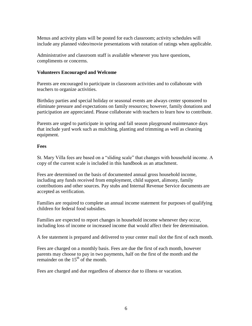Menus and activity plans will be posted for each classroom; activity schedules will include any planned video/movie presentations with notation of ratings when applicable.

Administrative and classroom staff is available whenever you have questions, compliments or concerns.

### **Volunteers Encouraged and Welcome**

Parents are encouraged to participate in classroom activities and to collaborate with teachers to organize activities.

Birthday parties and special holiday or seasonal events are always center sponsored to eliminate pressure and expectations on family resources; however, family donations and participation are appreciated. Please collaborate with teachers to learn how to contribute.

Parents are urged to participate in spring and fall season playground maintenance days that include yard work such as mulching, planting and trimming as well as cleaning equipment.

### **Fees**

St. Mary Villa fees are based on a "sliding scale" that changes with household income. A copy of the current scale is included in this handbook as an attachment.

Fees are determined on the basis of documented annual gross household income, including any funds received from employment, child support, alimony, family contributions and other sources. Pay stubs and Internal Revenue Service documents are accepted as verification.

Families are required to complete an annual income statement for purposes of qualifying children for federal food subsidies.

Families are expected to report changes in household income whenever they occur, including loss of income or increased income that would affect their fee determination.

A fee statement is prepared and delivered to your center mail slot the first of each month.

Fees are charged on a monthly basis. Fees are due the first of each month, however parents may choose to pay in two payments, half on the first of the month and the remainder on the  $15<sup>th</sup>$  of the month.

Fees are charged and due regardless of absence due to illness or vacation.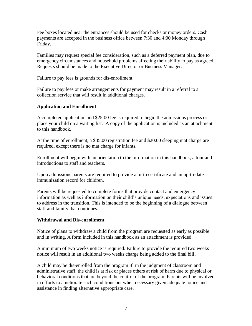Fee boxes located near the entrances should be used for checks or money orders. Cash payments are accepted in the business office between 7:30 and 4:00 Monday through Friday.

Families may request special fee consideration, such as a deferred payment plan, due to emergency circumstances and household problems affecting their ability to pay as agreed. Requests should be made to the Executive Director or Business Manager.

Failure to pay fees is grounds for dis-enrollment.

Failure to pay fees or make arrangements for payment may result in a referral to a collection service that will result in additional charges.

# **Application and Enrollment**

A completed application and \$25.00 fee is required to begin the admissions process or place your child on a waiting list. A copy of the application is included as an attachment to this handbook.

At the time of enrollment, a \$35.00 registration fee and \$20.00 sleeping mat charge are required, except there is no mat charge for infants.

Enrollment will begin with an orientation to the information in this handbook, a tour and introductions to staff and teachers.

Upon admissions parents are required to provide a birth certificate and an up-to-date immunization record for children.

Parents will be requested to complete forms that provide contact and emergency information as well as information on their child's unique needs, expectations and issues to address in the transition. This is intended to be the beginning of a dialogue between staff and family that continues.

# **Withdrawal and Dis-enrollment**

Notice of plans to withdraw a child from the program are requested as early as possible and in writing. A form included in this handbook as an attachment is provided.

A minimum of two weeks notice is required. Failure to provide the required two weeks notice will result in an additional two weeks charge being added to the final bill.

A child may be dis-enrolled from the program if, in the judgment of classroom and administrative staff, the child is at risk or places others at risk of harm due to physical or behavioral conditions that are beyond the control of the program. Parents will be involved in efforts to ameliorate such conditions but when necessary given adequate notice and assistance in finding alternative appropriate care.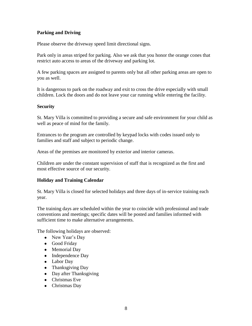# **Parking and Driving**

Please observe the driveway speed limit directional signs.

Park only in areas striped for parking. Also we ask that you honor the orange cones that restrict auto access to areas of the driveway and parking lot.

A few parking spaces are assigned to parents only but all other parking areas are open to you as well.

It is dangerous to park on the roadway and exit to cross the drive especially with small children. Lock the doors and do not leave your car running while entering the facility.

# **Security**

St. Mary Villa is committed to providing a secure and safe environment for your child as well as peace of mind for the family.

Entrances to the program are controlled by keypad locks with codes issued only to families and staff and subject to periodic change.

Areas of the premises are monitored by exterior and interior cameras.

Children are under the constant supervision of staff that is recognized as the first and most effective source of our security.

# **Holiday and Training Calendar**

St. Mary Villa is closed for selected holidays and three days of in-service training each year.

The training days are scheduled within the year to coincide with professional and trade conventions and meetings; specific dates will be posted and families informed with sufficient time to make alternative arrangements.

The following holidays are observed:

- New Year's Day
- Good Friday
- Memorial Day
- Independence Day
- Labor Day
- Thanksgiving Day
- Day after Thanksgiving
- Christmas Eve
- Christmas Day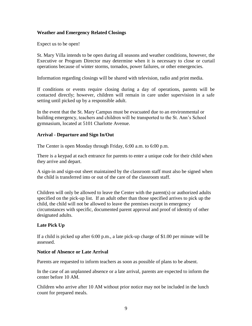# **Weather and Emergency Related Closings**

Expect us to be open!

St. Mary Villa intends to be open during all seasons and weather conditions, however, the Executive or Program Director may determine when it is necessary to close or curtail operations because of winter storms, tornados, power failures, or other emergencies.

Information regarding closings will be shared with television, radio and print media.

If conditions or events require closing during a day of operations, parents will be contacted directly; however, children will remain in care under supervision in a safe setting until picked up by a responsible adult.

In the event that the St. Mary Campus must be evacuated due to an environmental or building emergency, teachers and children will be transported to the St. Ann's School gymnasium, located at 5101 Charlotte Avenue.

#### **Arrival - Departure and Sign In/Out**

The Center is open Monday through Friday, 6:00 a.m. to 6:00 p.m.

There is a keypad at each entrance for parents to enter a unique code for their child when they arrive and depart.

A sign-in and sign-out sheet maintained by the classroom staff must also be signed when the child is transferred into or out of the care of the classroom staff.

Children will only be allowed to leave the Center with the parent(s) or authorized adults specified on the pick-up list*.* If an adult other than those specified arrives to pick up the child, the child will not be allowed to leave the premises except in emergency circumstances with specific, documented parent approval and proof of identity of other designated adults.

# **Late Pick Up**

If a child is picked up after 6:00 p.m., a late pick-up charge of \$1.00 per minute will be assessed.

#### **Notice of Absence or Late Arrival**

Parents are requested to inform teachers as soon as possible of plans to be absent.

In the case of an unplanned absence or a late arrival, parents are expected to inform the center before 10 AM.

Children who arrive after 10 AM without prior notice may not be included in the lunch count for prepared meals.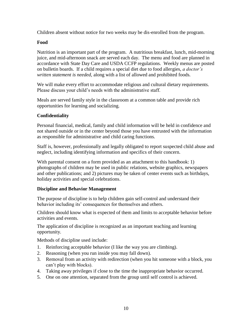Children absent without notice for two weeks may be dis-enrolled from the program.

# **Food**

Nutrition is an important part of the program. A nutritious breakfast, lunch, mid-morning juice, and mid-afternoon snack are served each day. The menu and food are planned in accordance with State Day Care and USDA CCFP regulations. Weekly menus are posted on bulletin boards. If a child requires a special diet due to food allergies, *a doctor's written statement is needed,* along with a list of allowed and prohibited foods.

We will make every effort to accommodate religious and cultural dietary requirements. Please discuss your child's needs with the administrative staff.

Meals are served family style in the classroom at a common table and provide rich opportunities for learning and socializing.

# **Confidentiality**

Personal financial, medical, family and child information will be held in confidence and not shared outside or in the center beyond those you have entrusted with the information as responsible for administrative and child caring functions.

Staff is, however, professionally and legally obligated to report suspected child abuse and neglect, including identifying information and specifics of their concern.

With parental consent on a form provided as an attachment to this handbook: 1) photographs of children may be used in public relations, website graphics, newspapers and other publications; and 2) pictures may be taken of center events such as birthdays, holiday activities and special celebrations.

# **Discipline and Behavior Management**

The purpose of discipline is to help children gain self-control and understand their behavior including its' consequences for themselves and others.

Children should know what is expected of them and limits to acceptable behavior before activities and events.

The application of discipline is recognized as an important teaching and learning opportunity.

Methods of discipline used include:

- 1. Reinforcing acceptable behavior (I like the way you are climbing).
- 2. Reasoning (when you run inside you may fall down).
- 3. Removal from an activity with redirection (when you hit someone with a block, you can't play with blocks).
- 4. Taking away privileges if close to the time the inappropriate behavior occurred.
- 5. One on one attention, separated from the group until self control is achieved.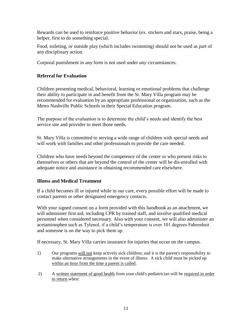Rewards can be used to reinforce positive behavior (ex. stickers and stars, praise, being a helper, first to do something special.

Food, toileting, or outside play (which includes swimming) should not be used as part of any disciplinary action.

Corporal punishment in any form is not used under *any* circumstances.

# **Referral for Evaluation**

Children presenting medical, behavioral, learning or emotional problems that challenge their ability to participate in and benefit from the St. Mary Villa program may be recommended for evaluation by an appropriate professional or organization, such as the Metro Nashville Public Schools in their Special Education program.

The purpose of the evaluation is to determine the child's needs and identify the best service site and provider to meet those needs.

St. Mary Villa is committed to serving a wide range of children with special needs and will work with families and other professionals to provide the care needed.

Children who have needs beyond the competence of the center or who present risks to themselves or others that are beyond the control of the center will be dis-enrolled with adequate notice and assistance in obtaining recommended care elsewhere.

# **Illness and Medical Treatment**

If a child becomes ill or injured while in our care, every possible effort will be made to contact parents or other designated emergency contacts.

With your signed consent on a form provided with this handbook as an attachment, we will administer first aid, including CPR by trained staff, and involve qualified medical personnel when considered necessary. Also with your consent, we will also administer an acetaminophen such as Tylenol, if a child's temperature is over 101 degrees Fahrenheit and someone is on the way to pick them up.

If necessary, St. Mary Villa carries insurance for injuries that occur on the campus.

- 1) Our programs will not keep actively sick children, and it is the parent's responsibility to make alternative arrangements in the event of illness. A sick child must be picked up within an hour from the time a parent is called.
- 2) A written statement of good health from your child's pediatrician will be required in order to return when: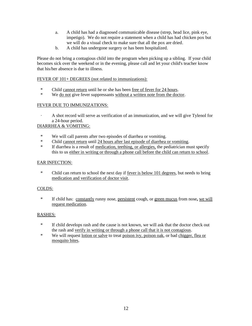- a. A child has had a diagnosed communicable disease (strep, head lice, pink eye, impetigo). We do not require a statement when a child has had chicken pox but we will do a visual check to make sure that all the pox are dried.
- b. A child has undergone surgery or has been hospitalized.

Please do not bring a contagious child into the program when picking up a sibling. If your child becomes sick over the weekend or in the evening, please call and let your child's teacher know that his/her absence is due to illness.

#### FEVER OF 101+ DEGREES (not related to immunizations):

- \* Child cannot return until he or she has been free of fever for 24 hours.
- \* We do not give fever suppressants without a written note from the doctor.

#### FEVER DUE TO IMMUNIZATIONS:

· A shot record will serve as verification of an immunization, and we will give Tylenol for a 24-hour period.

#### DIARRHEA & VOMITING:

- \* We will call parents after two episodes of diarrhea or vomiting.
- \* Child cannot return until 24 hours after last episode of diarrhea or vomiting.
- If diarrhea is a result of medication, teething, or allergies, the pediatrician must specify this to us either in writing or through a phone call before the child can return to school.

#### EAR INFECTION:

 \* Child can return to school the next day if fever is below 101 degrees, but needs to bring medication and verification of doctor visit.

#### COLDS:

 \* If child has: constantly runny nose, persistent cough, or green mucus from nose**,** we will request medication.

#### RASHES:

- \* If child develops rash and the cause is not known, we will ask that the doctor check out the rash and verify in writing or through a phone call that it is not contagious.
- \* We will request lotion or salve to treat poison ivy, poison oak, or bad chigger, flea or mosquito bites.